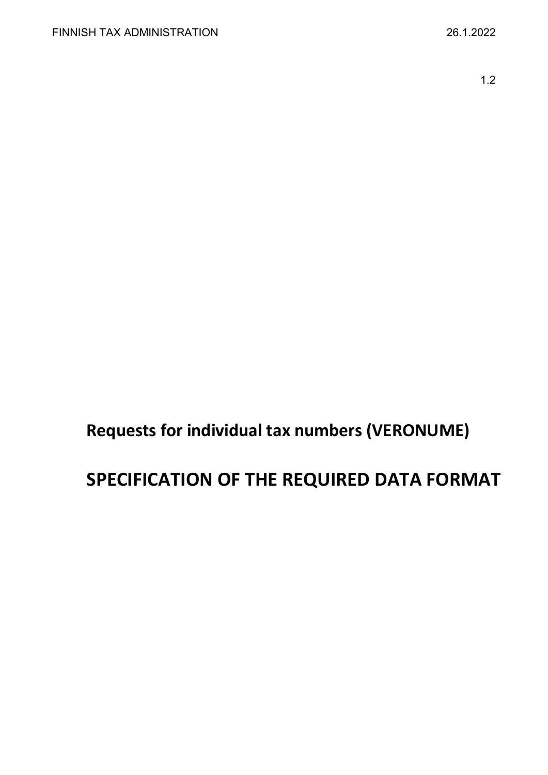1.2

# **Requests for individual tax numbers (VERONUME)**

## **SPECIFICATION OF THE REQUIRED DATA FORMAT**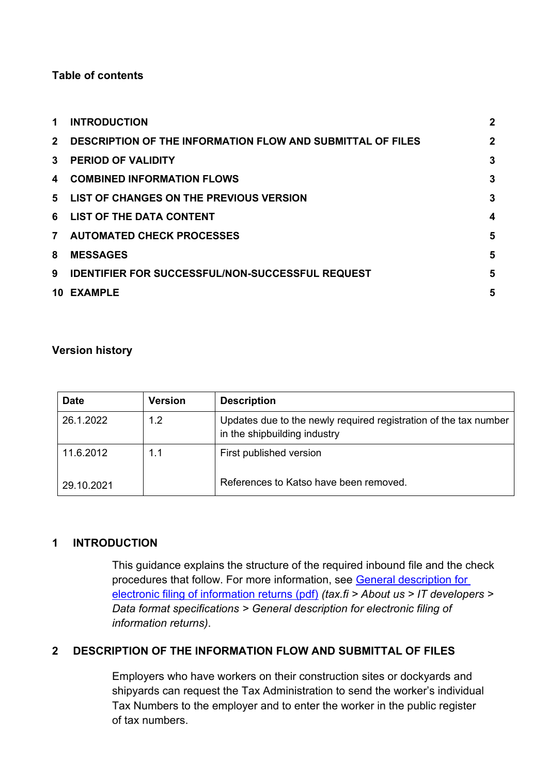## **Table of contents**

| 1.             | <b>INTRODUCTION</b>                                               | $\overline{2}$ |
|----------------|-------------------------------------------------------------------|----------------|
| $2^{\circ}$    | <b>DESCRIPTION OF THE INFORMATION FLOW AND SUBMITTAL OF FILES</b> | $\mathbf{2}$   |
| $\mathbf{3}$   | <b>PERIOD OF VALIDITY</b>                                         | 3              |
| 4              | <b>COMBINED INFORMATION FLOWS</b>                                 | 3              |
| 5              | LIST OF CHANGES ON THE PREVIOUS VERSION                           | 3              |
|                | 6 LIST OF THE DATA CONTENT                                        | 4              |
| 7 <sup>7</sup> | <b>AUTOMATED CHECK PROCESSES</b>                                  | 5              |
| 8              | <b>MESSAGES</b>                                                   | 5              |
| 9              | <b>IDENTIFIER FOR SUCCESSFUL/NON-SUCCESSFUL REQUEST</b>           | 5              |
| 10             | <b>EXAMPLE</b>                                                    | 5              |

## **Version history**

| <b>Date</b> | <b>Version</b> | <b>Description</b>                                                                               |
|-------------|----------------|--------------------------------------------------------------------------------------------------|
| 26.1.2022   | 1.2            | Updates due to the newly required registration of the tax number<br>in the shipbuilding industry |
| 11.6.2012   | 1.1            | First published version                                                                          |
| 29.10.2021  |                | References to Katso have been removed.                                                           |

## <span id="page-1-0"></span>**1 INTRODUCTION**

This guidance explains the structure of the required inbound file and the check procedures that follow. For more information, see [General description for](https://www.vero.fi/globalassets/tietoa-verohallinnosta/ohjelmistokehittajille/finnish-tax-administration_electronic-filing-of-information-returns-general-description.pdf)  [electronic filing of information returns \(pdf\)](https://www.vero.fi/globalassets/tietoa-verohallinnosta/ohjelmistokehittajille/finnish-tax-administration_electronic-filing-of-information-returns-general-description.pdf) *(tax.fi > About us > IT developers > Data format specifications > General description for electronic filing of information returns)*.

## <span id="page-1-1"></span>**2 DESCRIPTION OF THE INFORMATION FLOW AND SUBMITTAL OF FILES**

Employers who have workers on their construction sites or dockyards and shipyards can request the Tax Administration to send the worker's individual Tax Numbers to the employer and to enter the worker in the public register of tax numbers.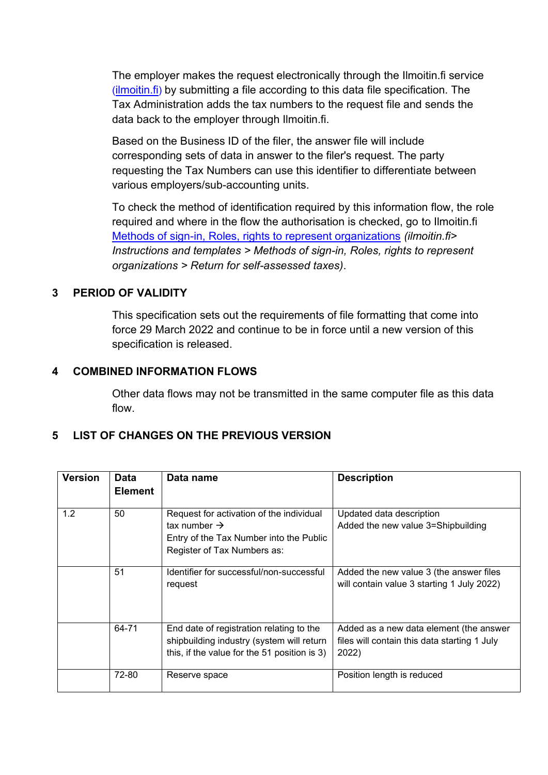The employer makes the request electronically through the Ilmoitin.fi service  $(i$ lmoitin.fi) by submitting a file according to this data file specification. The Tax Administration adds the tax numbers to the request file and sends the data back to the employer through Ilmoitin.fi.

Based on the Business ID of the filer, the answer file will include corresponding sets of data in answer to the filer's request. The party requesting the Tax Numbers can use this identifier to differentiate between various employers/sub-accounting units.

To check the method of identification required by this information flow, the role required and where in the flow the authorisation is checked, go to Ilmoitin.fi [Methods of sign-in, Roles, rights to represent organizations](https://www.ilmoitin.fi/webtamo/sivut/IlmoituslajiRoolit?kieli=en&tv=VERONUME) *(ilmoitin.fi> Instructions and templates > Methods of sign-in, Roles, rights to represent organizations > Return for self-assessed taxes)*.

## <span id="page-2-0"></span>**3 PERIOD OF VALIDITY**

This specification sets out the requirements of file formatting that come into force 29 March 2022 and continue to be in force until a new version of this specification is released.

## <span id="page-2-1"></span>**4 COMBINED INFORMATION FLOWS**

Other data flows may not be transmitted in the same computer file as this data flow.

## <span id="page-2-2"></span>**5 LIST OF CHANGES ON THE PREVIOUS VERSION**

| <b>Version</b> | Data<br><b>Element</b> | Data name                                                                                                                                      | <b>Description</b>                                                                               |
|----------------|------------------------|------------------------------------------------------------------------------------------------------------------------------------------------|--------------------------------------------------------------------------------------------------|
| 1.2            | 50                     | Request for activation of the individual<br>tax number $\rightarrow$<br>Entry of the Tax Number into the Public<br>Register of Tax Numbers as: | Updated data description<br>Added the new value 3=Shipbuilding                                   |
|                | 51                     | Identifier for successful/non-successful<br>request                                                                                            | Added the new value 3 (the answer files<br>will contain value 3 starting 1 July 2022)            |
|                | 64-71                  | End date of registration relating to the<br>shipbuilding industry (system will return<br>this, if the value for the 51 position is 3)          | Added as a new data element (the answer<br>files will contain this data starting 1 July<br>2022) |
|                | 72-80                  | Reserve space                                                                                                                                  | Position length is reduced                                                                       |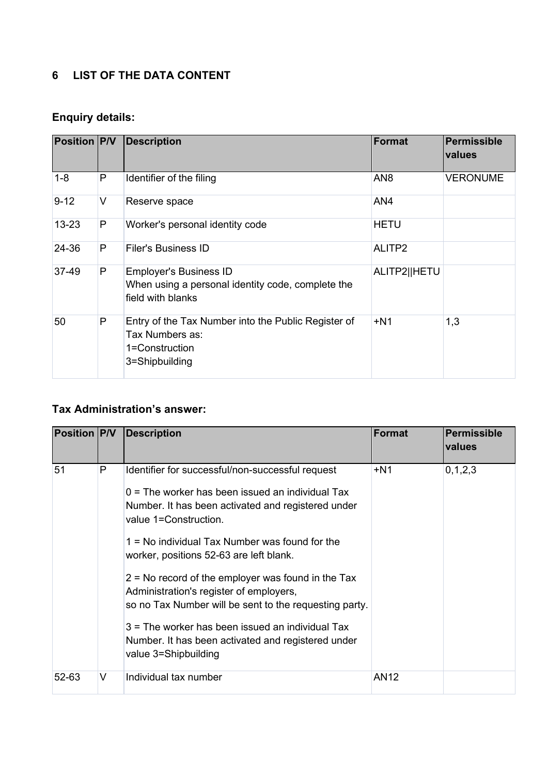## <span id="page-3-0"></span>**6 LIST OF THE DATA CONTENT**

## **Enquiry details:**

| <b>Position P/V</b> |   | <b>Description</b>                                                                                         | Format          | Permissible<br>values |
|---------------------|---|------------------------------------------------------------------------------------------------------------|-----------------|-----------------------|
| $1 - 8$             | P | Identifier of the filing                                                                                   | AN <sub>8</sub> | <b>VERONUME</b>       |
| $9 - 12$            | V | Reserve space                                                                                              | AN4             |                       |
| $13 - 23$           | P | Worker's personal identity code                                                                            | <b>HETU</b>     |                       |
| 24-36               | P | Filer's Business ID                                                                                        | ALITP2          |                       |
| 37-49               | P | <b>Employer's Business ID</b><br>When using a personal identity code, complete the<br>field with blanks    | ALITP2  HETU    |                       |
| 50                  | P | Entry of the Tax Number into the Public Register of<br>Tax Numbers as:<br>1=Construction<br>3=Shipbuilding | $+N1$           | 1,3                   |

## **Tax Administration's answer:**

| <b>Position P/V</b> |   | <b>Description</b>                                                                                                                                                                                                                                                                                                                                                                                                                                                                                                                                                                  | Format      | Permissible<br>values |
|---------------------|---|-------------------------------------------------------------------------------------------------------------------------------------------------------------------------------------------------------------------------------------------------------------------------------------------------------------------------------------------------------------------------------------------------------------------------------------------------------------------------------------------------------------------------------------------------------------------------------------|-------------|-----------------------|
| 51                  | P | Identifier for successful/non-successful request<br>$0 =$ The worker has been issued an individual Tax<br>Number. It has been activated and registered under<br>value 1=Construction.<br>1 = No individual Tax Number was found for the<br>worker, positions 52-63 are left blank.<br>$2$ = No record of the employer was found in the Tax<br>Administration's register of employers,<br>so no Tax Number will be sent to the requesting party.<br>$3$ = The worker has been issued an individual Tax<br>Number. It has been activated and registered under<br>value 3=Shipbuilding | $+N1$       | 0, 1, 2, 3            |
| 52-63               | V | Individual tax number                                                                                                                                                                                                                                                                                                                                                                                                                                                                                                                                                               | <b>AN12</b> |                       |